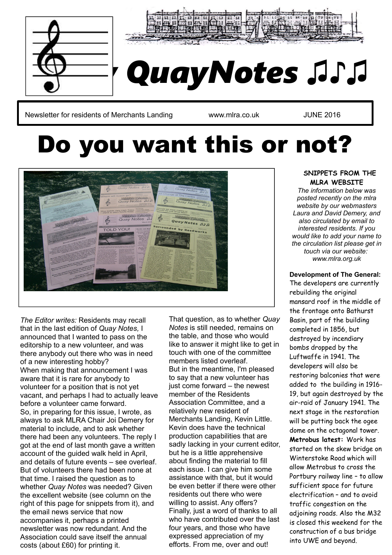



# *Quay QuayNotes ♫♪♫*

Newsletter for residents of Merchants Landing **Warehouse William Warehouse 1988** JUNE 2016

## Do you want this or not?



*The Editor writes:* Residents may recall that in the last edition of *Quay Notes,* I announced that I wanted to pass on the editorship to a new volunteer, and was there anybody out there who was in need of a new interesting hobby? When making that announcement I was aware that it is rare for anybody to volunteer for a position that is not yet vacant, and perhaps I had to actually leave before a volunteer came forward. So, in preparing for this issue, I wrote, as always to ask MLRA Chair Joi Demery for material to include, and to ask whether there had been any volunteers. The reply I got at the end of last month gave a written account of the guided walk held in April, and details of future events – see overleaf. But of volunteers there had been none at that time. I raised the question as to whether *Quay Notes* was needed? Given the excellent website (see column on the right of this page for snippets from it), and the email news service that now accompanies it, perhaps a printed newsletter was now redundant. And the Association could save itself the annual costs (about £60) for printing it.

That question, as to whether *Quay Notes* is still needed, remains on the table, and those who would like to answer it might like to get in touch with one of the committee members listed overleaf. But in the meantime, I'm pleased to say that a new volunteer has just come forward – the newest member of the Residents Association Committee, and a relatively new resident of Merchants Landing, Kevin Little. Kevin does have the technical production capabilities that are sadly lacking in your current editor, but he is a little apprehensive about finding the material to fill each issue. I can give him some assistance with that, but it would be even better if there were other residents out there who were willing to assist. Any offers? Finally, just a word of thanks to all who have contributed over the last four years, and those who have expressed appreciation of my efforts. From me, over and out!

#### **SNIPPETS FROM THE MLRA WEBSITE**

*The information below was posted recently on the mlra website by our webmasters Laura and David Demery, and also circulated by email to interested residents. If you would like to add your name to the circulation list please get in touch via our website: [www.mlra.org.uk](http://www.mlra.org.uk/)*

#### **Development of The General:**

The developers are currently rebuilding the original mansard roof in the middle of the frontage onto Bathurst Basin, part of the building completed in 1856, but destroyed by incendiary bombs dropped by the Luftwaffe in 1941. The developers will also be restoring balconies that were added to the building in 1916- 19, but again destroyed by the air-raid of January 1941. The next stage in the restoration will be putting back the ogee dome on the octagonal tower. **Metrobus latest:** Work has started on the skew bridge on Winterstoke Road which will allow Metrobus to cross the Portbury railway line – to allow sufficient space for future electrification – and to avoid traffic congestion on the adjoining roads. Also the M32 is closed this weekend for the construction of a bus bridge into UWE and beyond.